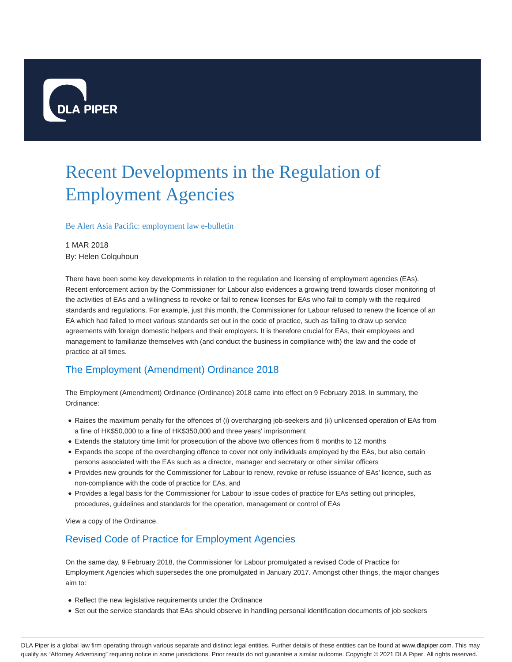

# Recent Developments in the Regulation of Employment Agencies

Be Alert Asia Pacific: employment law e-bulletin

#### 1 MAR 2018

By: Helen Colquhoun

There have been some key developments in relation to the regulation and licensing of employment agencies (EAs). Recent enforcement action by the Commissioner for Labour also evidences a growing trend towards closer monitoring of the activities of EAs and a willingness to revoke or fail to renew licenses for EAs who fail to comply with the required standards and regulations. For example, just this month, the Commissioner for Labour refused to renew the licence of an EA which had failed to meet various standards set out in the code of practice, such as failing to draw up service agreements with foreign domestic helpers and their employers. It is therefore crucial for EAs, their employees and management to familiarize themselves with (and conduct the business in compliance with) the law and the code of practice at all times.

# The Employment (Amendment) Ordinance 2018

The Employment (Amendment) Ordinance (Ordinance) 2018 came into effect on 9 February 2018. In summary, the Ordinance:

- Raises the maximum penalty for the offences of (i) overcharging job-seekers and (ii) unlicensed operation of EAs from a fine of HK\$50,000 to a fine of HK\$350,000 and three years' imprisonment
- Extends the statutory time limit for prosecution of the above two offences from 6 months to 12 months
- Expands the scope of the overcharging offence to cover not only individuals employed by the EAs, but also certain persons associated with the EAs such as a director, manager and secretary or other similar officers
- Provides new grounds for the Commissioner for Labour to renew, revoke or refuse issuance of EAs' licence, such as non-compliance with the code of practice for EAs, and
- Provides a legal basis for the Commissioner for Labour to issue codes of practice for EAs setting out principles, procedures, guidelines and standards for the operation, management or control of EAs

View a copy of the Ordinance.

## Revised Code of Practice for Employment Agencies

On the same day, 9 February 2018, the Commissioner for Labour promulgated a revised Code of Practice for Employment Agencies which supersedes the one promulgated in January 2017. Amongst other things, the major changes aim to:

- Reflect the new legislative requirements under the Ordinance
- Set out the service standards that EAs should observe in handling personal identification documents of job seekers